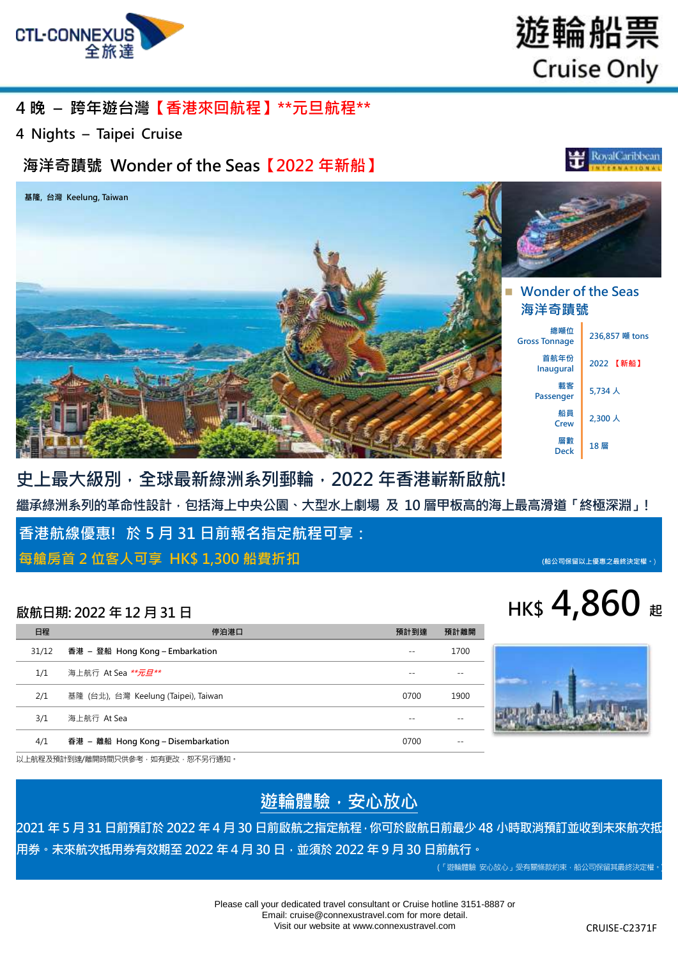

遊輪船票 **Cruise Only** 

### **4 晚 – 跨年遊台灣【香港來回航程】\*\*元旦航程\*\***

**4 Nights – Taipei Cruise**

### **海洋奇蹟號 Wonder of the Seas【2022 年新船】**





## **史上最大級別,全球最新綠洲系列郵輪,2022 年香港嶄新啟航! 繼承綠洲系列的革命性設計,包括海上中央公園、大型水上劇場 及 10 層甲板高的海上最高滑道「終極深淵」!**

**香港航線優惠! 於 5 月 31 日前報名指定航程可享:** 

**每艙房首 2 位客人可享 HK\$ 1,300 船費折扣 (船公司保留以上優惠之最終決定權。**)

| 日程    | 停泊港口                                 | 預計到達 | 預計離開 |
|-------|--------------------------------------|------|------|
| 31/12 | 香港 – 登船 Hong Kong – Embarkation      |      | 1700 |
| 1/1   | 海上航行 At Sea **元日**                   |      |      |
| 2/1   | 基隆 (台北), 台灣 Keelung (Taipei), Taiwan | 0700 | 1900 |
| 3/1   | 海上航行 At Sea                          |      |      |
| 4/1   | 香港 - 離船 Hong Kong - Disembarkation   | 0700 |      |





以上航程及預計到達/離開時間只供參考,如有更改,恕不另行通知。

### **遊輪體驗,安心放心**

**2021 年 5 月 31 日前預訂於 2022 年 4 月 30 日前啟航之指定航程,你可於啟航日前最少 48 小時取消預訂並收到未來航次抵 用券。未來航次抵用券有效期至 2022 年 4 月 30 日,並須於 2022 年 9 月 30 日前航行。**

(「遊輪體驗 安心放心」受有關條款約束,船公司保留其最終決定權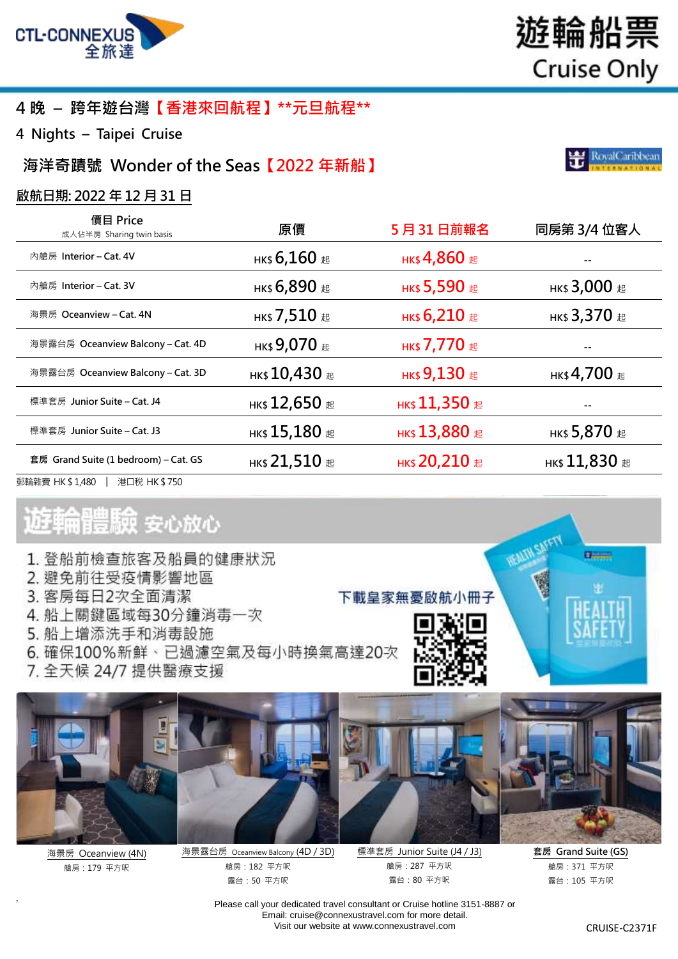

### **4 晚 – 跨年遊台灣【香港來回航程】\*\*元旦航程\*\***

**4 Nights – Taipei Cruise**

**海洋奇蹟號 Wonder of the Seas【2022 年新船】**

#### **啟航日期: 2022 年 12 月 31 日**

| 價目 Price<br>成人佔半房 Sharing twin basis | 原價                      | 5月31日前報名             | 同房第 3/4 位客人                       |
|--------------------------------------|-------------------------|----------------------|-----------------------------------|
| 內艙房 Interior – Cat. 4V               | нк\$ 6,160 #            | нк\$ 4,860 起         |                                   |
| 內艙房 Interior – Cat. 3V               | нк\$ 6,890 #            | нк\$ 5,590 起         | нк\$ $3,000$ $\scriptstyle\rm \&$ |
| 海景房 Oceanview – Cat. 4N              | нк\$ 7,510 $\,$ $\rm E$ | нк\$ 6,210 起         | нк\$ 3,370 #                      |
| 海景露台房 Oceanview Balcony – Cat. 4D    | нк\$ 9,070 #            | нк\$ 7,770 #         |                                   |
| 海景露台房 Oceanview Balcony – Cat. 3D    | нк\$ $10,430$ #         | нк\$ 9,130 起         | нк\$ 4,700 $\rm _{\,E}$           |
| 標準套房 Junior Suite – Cat. J4          | нк\$ $12,650$ #         | нк\$ 11,350 $E$      |                                   |
| 標準套房 Junior Suite – Cat. J3          | нк\$ $15,180$ #         | <b>НК\$ 13,880 起</b> | нк\$ 5,870 #                      |
| 套房 Grand Suite (1 bedroom) – Cat. GS | нк\$ 21,510 $E$         | <b>НК\$ 20,210 起</b> | нк\$ $11,830$ #                   |
| 郵輪雜費 HK \$ 1,480<br>港口稅 HK\$750      |                         |                      |                                   |

# 體験 安心放心

- 1. 登船前檢查旅客及船員的健康狀況
- 2. 避免前往受疫情影響地區
- 3. 客房每日2次全面清潔
- 4. 船上關鍵區域每30分鐘消毒一次
- 5. 船上增添洗手和消毒設施
- 6. 確保100%新鮮、已過濾空氣及每小時換氣高達20次
- 7. 全天候 24/7 提供醫療支援



海景房 Oceanview (4N) 艙房:179 平方呎

7



海景露台房 Oceanview Balcony (4D / 3D) 艙房:182 平方呎 露台:50 平方呎

標準套房 Junior Suite (J4 / J3) 艙房:287 平方呎 露台:80 平方呎

下載皇家無憂啟航小冊子

**Children** 

**套房 Grand Suite (GS)** 艙房:371 平方呎 露台:105 平方呎

Please call your dedicated travel consultant or Cruise hotline 3151-8887 or Email[: cruise@connexustravel.com](mailto:cruise@connexustravel.com) for more detail. Visit our website at [www.connexustravel.com](http://www.connexustravel.com/) CRUISE-C2371F